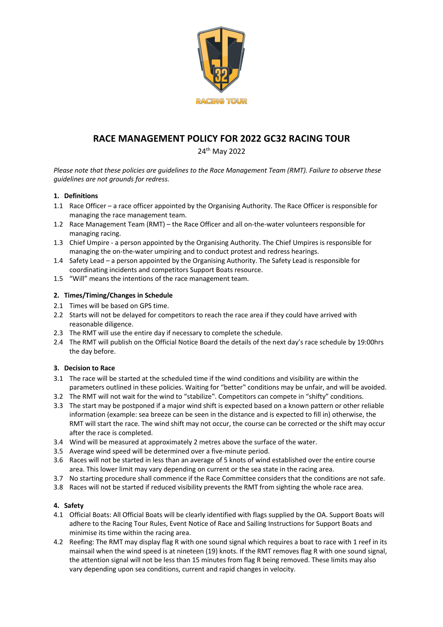

# **RACE MANAGEMENT POLICY FOR 2022 GC32 RACING TOUR**

24th May 2022

*Please note that these policies are guidelines to the Race Management Team (RMT). Failure to observe these guidelines are not grounds for redress.*

# **1. Definitions**

- 1.1 Race Officer a race officer appointed by the Organising Authority. The Race Officer is responsible for managing the race management team.
- 1.2 Race Management Team (RMT) the Race Officer and all on-the-water volunteers responsible for managing racing.
- 1.3 Chief Umpire a person appointed by the Organising Authority. The Chief Umpires is responsible for managing the on-the-water umpiring and to conduct protest and redress hearings.
- 1.4 Safety Lead a person appointed by the Organising Authority. The Safety Lead is responsible for coordinating incidents and competitors Support Boats resource.
- 1.5 "Will" means the intentions of the race management team.

# **2. Times/Timing/Changes in Schedule**

- 2.1 Times will be based on GPS time.
- 2.2 Starts will not be delayed for competitors to reach the race area if they could have arrived with reasonable diligence.
- 2.3 The RMT will use the entire day if necessary to complete the schedule.
- 2.4 The RMT will publish on the Official Notice Board the details of the next day's race schedule by 19:00hrs the day before.

## **3. Decision to Race**

- 3.1 The race will be started at the scheduled time if the wind conditions and visibility are within the parameters outlined in these policies. Waiting for "better" conditions may be unfair, and will be avoided.
- 3.2 The RMT will not wait for the wind to "stabilize". Competitors can compete in "shifty" conditions.
- 3.3 The start may be postponed if a major wind shift is expected based on a known pattern or other reliable information (example: sea breeze can be seen in the distance and is expected to fill in) otherwise, the RMT will start the race. The wind shift may not occur, the course can be corrected or the shift may occur after the race is completed.
- 3.4 Wind will be measured at approximately 2 metres above the surface of the water.
- 3.5 Average wind speed will be determined over a five-minute period.
- 3.6 Races will not be started in less than an average of 5 knots of wind established over the entire course area. This lower limit may vary depending on current or the sea state in the racing area.
- 3.7 No starting procedure shall commence if the Race Committee considers that the conditions are not safe.
- 3.8 Races will not be started if reduced visibility prevents the RMT from sighting the whole race area.

## **4. Safety**

- 4.1 Official Boats: All Official Boats will be clearly identified with flags supplied by the OA. Support Boats will adhere to the Racing Tour Rules, Event Notice of Race and Sailing Instructions for Support Boats and minimise its time within the racing area.
- 4.2 Reefing: The RMT may display flag R with one sound signal which requires a boat to race with 1 reef in its mainsail when the wind speed is at nineteen (19) knots. If the RMT removes flag R with one sound signal, the attention signal will not be less than 15 minutes from flag R being removed. These limits may also vary depending upon sea conditions, current and rapid changes in velocity.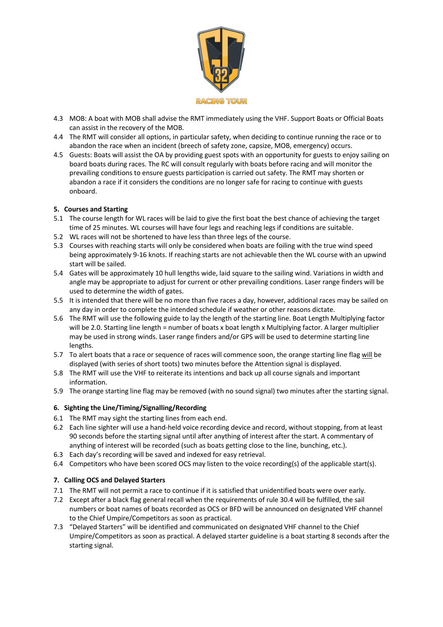

- 4.3 MOB: A boat with MOB shall advise the RMT immediately using the VHF. Support Boats or Official Boats can assist in the recovery of the MOB.
- 4.4 The RMT will consider all options, in particular safety, when deciding to continue running the race or to abandon the race when an incident (breech of safety zone, capsize, MOB, emergency) occurs.
- 4.5 Guests: Boats will assist the OA by providing guest spots with an opportunity for guests to enjoy sailing on board boats during races. The RC will consult regularly with boats before racing and will monitor the prevailing conditions to ensure guests participation is carried out safety. The RMT may shorten or abandon a race if it considers the conditions are no longer safe for racing to continue with guests onboard.

## **5. Courses and Starting**

- 5.1 The course length for WL races will be laid to give the first boat the best chance of achieving the target time of 25 minutes. WL courses will have four legs and reaching legs if conditions are suitable.
- 5.2 WL races will not be shortened to have less than three legs of the course.
- 5.3 Courses with reaching starts will only be considered when boats are foiling with the true wind speed being approximately 9-16 knots. If reaching starts are not achievable then the WL course with an upwind start will be sailed.
- 5.4 Gates will be approximately 10 hull lengths wide, laid square to the sailing wind. Variations in width and angle may be appropriate to adjust for current or other prevailing conditions. Laser range finders will be used to determine the width of gates.
- 5.5 It is intended that there will be no more than five races a day, however, additional races may be sailed on any day in order to complete the intended schedule if weather or other reasons dictate.
- 5.6 The RMT will use the following guide to lay the length of the starting line. Boat Length Multiplying factor will be 2.0. Starting line length = number of boats x boat length x Multiplying factor. A larger multiplier may be used in strong winds. Laser range finders and/or GPS will be used to determine starting line lengths.
- 5.7 To alert boats that a race or sequence of races will commence soon, the orange starting line flag will be displayed (with series of short toots) two minutes before the Attention signal is displayed.
- 5.8 The RMT will use the VHF to reiterate its intentions and back up all course signals and important information.
- 5.9 The orange starting line flag may be removed (with no sound signal) two minutes after the starting signal.

## **6. Sighting the Line/Timing/Signalling/Recording**

- 6.1 The RMT may sight the starting lines from each end.
- 6.2 Each line sighter will use a hand-held voice recording device and record, without stopping, from at least 90 seconds before the starting signal until after anything of interest after the start. A commentary of anything of interest will be recorded (such as boats getting close to the line, bunching, etc.).
- 6.3 Each day's recording will be saved and indexed for easy retrieval.
- 6.4 Competitors who have been scored OCS may listen to the voice recording(s) of the applicable start(s).

## **7. Calling OCS and Delayed Starters**

- 7.1 The RMT will not permit a race to continue if it is satisfied that unidentified boats were over early.
- 7.2 Except after a black flag general recall when the requirements of rule 30.4 will be fulfilled, the sail numbers or boat names of boats recorded as OCS or BFD will be announced on designated VHF channel to the Chief Umpire/Competitors as soon as practical.
- 7.3 "Delayed Starters" will be identified and communicated on designated VHF channel to the Chief Umpire/Competitors as soon as practical. A delayed starter guideline is a boat starting 8 seconds after the starting signal.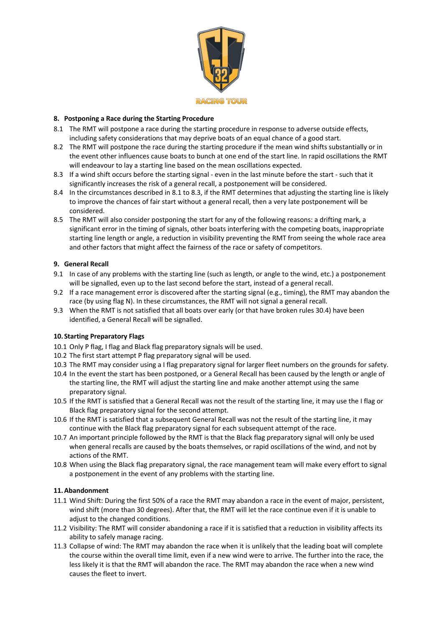

## **8. Postponing a Race during the Starting Procedure**

- 8.1 The RMT will postpone a race during the starting procedure in response to adverse outside effects, including safety considerations that may deprive boats of an equal chance of a good start.
- 8.2 The RMT will postpone the race during the starting procedure if the mean wind shifts substantially or in the event other influences cause boats to bunch at one end of the start line. In rapid oscillations the RMT will endeavour to lay a starting line based on the mean oscillations expected.
- 8.3 If a wind shift occurs before the starting signal even in the last minute before the start such that it significantly increases the risk of a general recall, a postponement will be considered.
- 8.4 In the circumstances described in 8.1 to 8.3, if the RMT determines that adjusting the starting line is likely to improve the chances of fair start without a general recall, then a very late postponement will be considered.
- 8.5 The RMT will also consider postponing the start for any of the following reasons: a drifting mark, a significant error in the timing of signals, other boats interfering with the competing boats, inappropriate starting line length or angle, a reduction in visibility preventing the RMT from seeing the whole race area and other factors that might affect the fairness of the race or safety of competitors.

## **9. General Recall**

- 9.1 In case of any problems with the starting line (such as length, or angle to the wind, etc.) a postponement will be signalled, even up to the last second before the start, instead of a general recall.
- 9.2 If a race management error is discovered after the starting signal (e.g., timing), the RMT may abandon the race (by using flag N). In these circumstances, the RMT will not signal a general recall.
- 9.3 When the RMT is not satisfied that all boats over early (or that have broken rules 30.4) have been identified, a General Recall will be signalled.

## **10. Starting Preparatory Flags**

- 10.1 Only P flag, I flag and Black flag preparatory signals will be used.
- 10.2 The first start attempt P flag preparatory signal will be used.
- 10.3 The RMT may consider using a I flag preparatory signal for larger fleet numbers on the grounds for safety.
- 10.4 In the event the start has been postponed, or a General Recall has been caused by the length or angle of the starting line, the RMT will adjust the starting line and make another attempt using the same preparatory signal.
- 10.5 If the RMT is satisfied that a General Recall was not the result of the starting line, it may use the I flag or Black flag preparatory signal for the second attempt.
- 10.6 If the RMT is satisfied that a subsequent General Recall was not the result of the starting line, it may continue with the Black flag preparatory signal for each subsequent attempt of the race.
- 10.7 An important principle followed by the RMT is that the Black flag preparatory signal will only be used when general recalls are caused by the boats themselves, or rapid oscillations of the wind, and not by actions of the RMT.
- 10.8 When using the Black flag preparatory signal, the race management team will make every effort to signal a postponement in the event of any problems with the starting line.

# **11.Abandonment**

- 11.1 Wind Shift: During the first 50% of a race the RMT may abandon a race in the event of major, persistent, wind shift (more than 30 degrees). After that, the RMT will let the race continue even if it is unable to adjust to the changed conditions.
- 11.2 Visibility: The RMT will consider abandoning a race if it is satisfied that a reduction in visibility affects its ability to safely manage racing.
- 11.3 Collapse of wind: The RMT may abandon the race when it is unlikely that the leading boat will complete the course within the overall time limit, even if a new wind were to arrive. The further into the race, the less likely it is that the RMT will abandon the race. The RMT may abandon the race when a new wind causes the fleet to invert.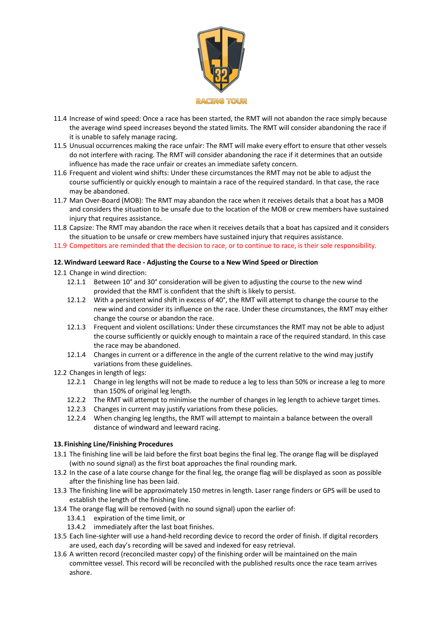

- 11.4 Increase of wind speed: Once a race has been started, the RMT will not abandon the race simply because the average wind speed increases beyond the stated limits. The RMT will consider abandoning the race if it is unable to safely manage racing.
- 11.5 Unusual occurrences making the race unfair: The RMT will make every effort to ensure that other vessels do not interfere with racing. The RMT will consider abandoning the race if it determines that an outside influence has made the race unfair or creates an immediate safety concern.
- 11.6 Frequent and violent wind shifts: Under these circumstances the RMT may not be able to adjust the course sufficiently or quickly enough to maintain a race of the required standard. In that case, the race may be abandoned.
- 11.7 Man Over-Board (MOB): The RMT may abandon the race when it receives details that a boat has a MOB and considers the situation to be unsafe due to the location of the MOB or crew members have sustained injury that requires assistance.
- 11.8 Capsize: The RMT may abandon the race when it receives details that a boat has capsized and it considers the situation to be unsafe or crew members have sustained injury that requires assistance.
- 11.9 Competitors are reminded that the decision to race, or to continue to race, is their sole responsibility.

#### **12.Windward Leeward Race - Adjusting the Course to a New Wind Speed or Direction**

12.1 Change in wind direction:

- 12.1.1 Between 10° and 30° consideration will be given to adjusting the course to the new wind provided that the RMT is confident that the shift is likely to persist.
- 12.1.2 With a persistent wind shift in excess of 40°, the RMT will attempt to change the course to the new wind and consider its influence on the race. Under these circumstances, the RMT may either change the course or abandon the race.
- 12.1.3 Frequent and violent oscillations: Under these circumstances the RMT may not be able to adjust the course sufficiently or quickly enough to maintain a race of the required standard. In this case the race may be abandoned.
- 12.1.4 Changes in current or a difference in the angle of the current relative to the wind may justify variations from these guidelines.
- 12.2 Changes in length of legs:
	- 12.2.1 Change in leg lengths will not be made to reduce a leg to less than 50% or increase a leg to more than 150% of original leg length.
	- 12.2.2 The RMT will attempt to minimise the number of changes in leg length to achieve target times.
	- 12.2.3 Changes in current may justify variations from these policies.
	- 12.2.4 When changing leg lengths, the RMT will attempt to maintain a balance between the overall distance of windward and leeward racing.

## **13. Finishing Line/Finishing Procedures**

- 13.1 The finishing line will be laid before the first boat begins the final leg. The orange flag will be displayed (with no sound signal) as the first boat approaches the final rounding mark.
- 13.2 In the case of a late course change for the final leg, the orange flag will be displayed as soon as possible after the finishing line has been laid.
- 13.3 The finishing line will be approximately 150 metres in length. Laser range finders or GPS will be used to establish the length of the finishing line.
- 13.4 The orange flag will be removed (with no sound signal) upon the earlier of:
	- 13.4.1 expiration of the time limit, or
	- 13.4.2 immediately after the last boat finishes.
- 13.5 Each line-sighter will use a hand-held recording device to record the order of finish. If digital recorders are used, each day's recording will be saved and indexed for easy retrieval.
- 13.6 A written record (reconciled master copy) of the finishing order will be maintained on the main committee vessel. This record will be reconciled with the published results once the race team arrives ashore.